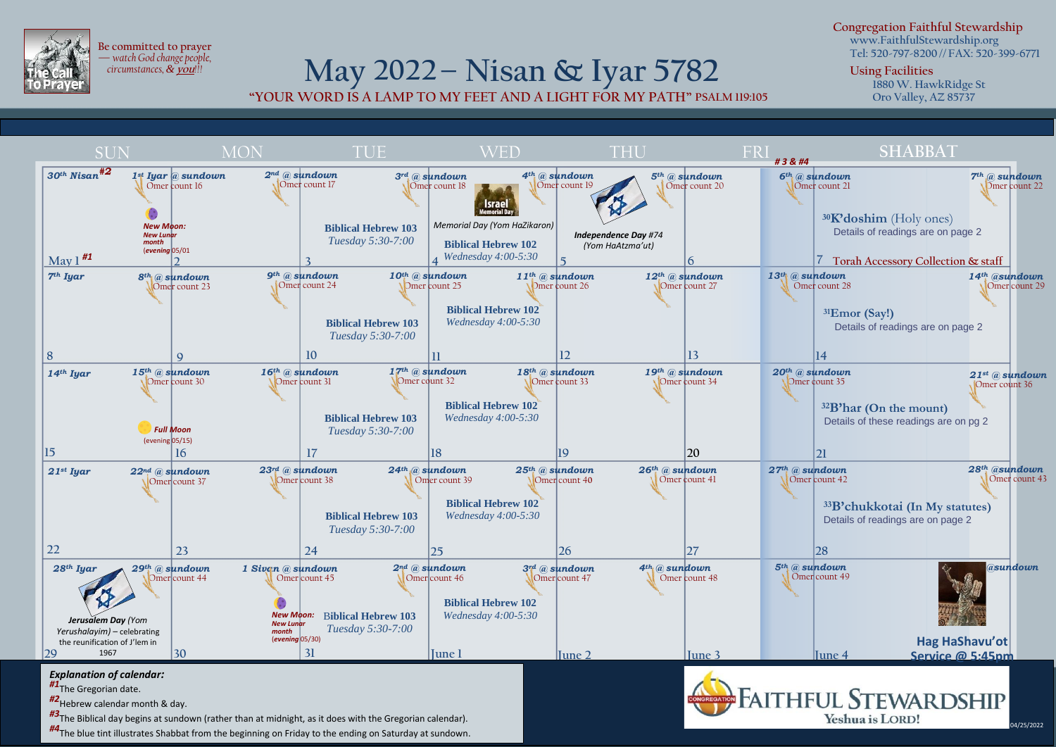

**Be committed to prayer —** *watch God change people, circumstances, &***you***!!!*

## **May 2022– Nisan & Iyar 5782**

**"YOUR WORD IS A LAMP TO MY FEET AND A LIGHT FOR MY PATH" PSALM 119:105**

**Congregation Faithful Stewardship www.FaithfulStewardship.org**

**Tel: 520-797-8200 // FAX: 520-399-6771**

04/25/2022

**Using Facilities**

**1880 W. HawkRidge St Oro Valley, AZ 85737**



*#3*The Biblical day begins at sundown (rather than at midnight, as it does with the Gregorian calendar).

*#4*The blue tint illustrates Shabbat from the beginning on Friday to the ending on Saturday at sundown.